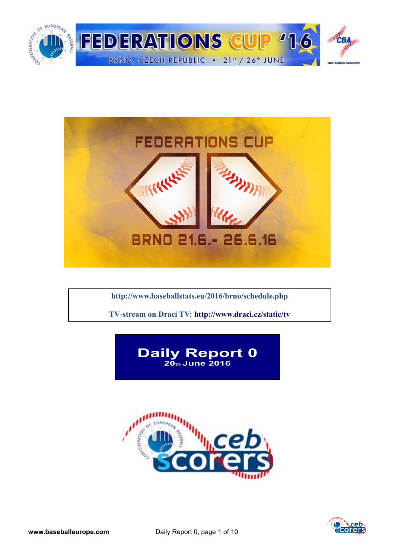



**<http://www.baseballstats.eu/2016/brno/schedule.php>**

**TV-stream on Draci TV:<http://www.draci.cz/static/tv>**





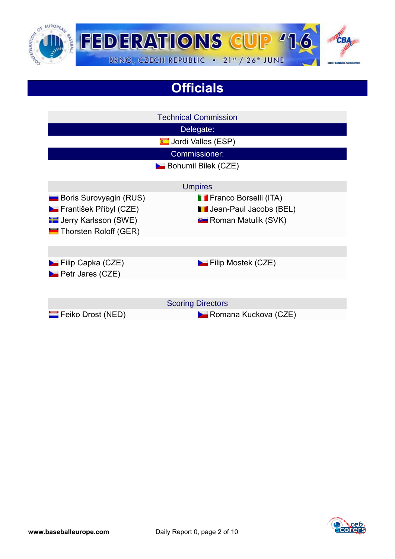

# **Officials**

|                                                                                                                   | <b>Technical Commission</b>                                                                     |  |  |  |  |  |
|-------------------------------------------------------------------------------------------------------------------|-------------------------------------------------------------------------------------------------|--|--|--|--|--|
|                                                                                                                   | Delegate:                                                                                       |  |  |  |  |  |
|                                                                                                                   | <b>Condi</b> Valles (ESP)                                                                       |  |  |  |  |  |
| Commissioner:                                                                                                     |                                                                                                 |  |  |  |  |  |
|                                                                                                                   | <b>Bohumil Bilek (CZE)</b>                                                                      |  |  |  |  |  |
|                                                                                                                   | <b>Umpires</b>                                                                                  |  |  |  |  |  |
| <b>Boris Surovyagin (RUS)</b><br>František Přibyl (CZE)<br><b>E</b> Jerry Karlsson (SWE)<br>Thorsten Roloff (GER) | <b>Franco Borselli (ITA)</b><br><b>I</b> Jean-Paul Jacobs (BEL)<br><b>P</b> Roman Matulik (SVK) |  |  |  |  |  |
|                                                                                                                   |                                                                                                 |  |  |  |  |  |
| Filip Capka (CZE)<br><b>D</b> Petr Jares (CZE)                                                                    | $\blacktriangleright$ Filip Mostek (CZE)                                                        |  |  |  |  |  |
|                                                                                                                   |                                                                                                 |  |  |  |  |  |
|                                                                                                                   | <b>Scoring Directors</b>                                                                        |  |  |  |  |  |
| Feiko Drost (NED)                                                                                                 | Romana Kuckova (CZE)                                                                            |  |  |  |  |  |

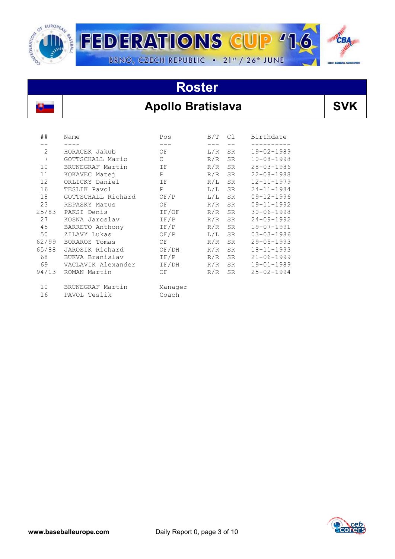

### Apollo Bratislava | SVK

| ##    | Name               | Pos           | B/T | C1        | Birthdate        |
|-------|--------------------|---------------|-----|-----------|------------------|
|       |                    |               |     |           |                  |
| 2     | HORACEK Jakub      | ΟF            | L/R | <b>SR</b> | $19 - 02 - 1989$ |
| 7     | GOTTSCHALL Mario   | $\mathcal{C}$ | R/R | <b>SR</b> | $10 - 08 - 1998$ |
| 10    | BRUNEGRAF Martin   | ΙF            | R/R | <b>SR</b> | $28 - 03 - 1986$ |
| 11    | KOKAVEC Matej      | P             | R/R | <b>SR</b> | $22 - 08 - 1988$ |
| 12    | ORLICKY Daniel     | ΙF            | R/L | <b>SR</b> | $12 - 11 - 1979$ |
| 16    | TESLIK Pavol       | P             | L/L | <b>SR</b> | $24 - 11 - 1984$ |
| 18    | GOTTSCHALL Richard | OF/P          | L/L | <b>SR</b> | $09 - 12 - 1996$ |
| 23    | REPASKY Matus      | ΟF            | R/R | <b>SR</b> | $09 - 11 - 1992$ |
| 25/83 | PAKSI Denis        | IF/OF         | R/R | SR        | $30 - 06 - 1998$ |
| 27    | KOSNA Jaroslav     | IF/P          | R/R | <b>SR</b> | $24 - 09 - 1992$ |
| 45    | BARRETO Anthony    | IF/P          | R/R | SR        | $19 - 07 - 1991$ |
| 50    | ZILAVY Lukas       | OF/P          | L/L | <b>SR</b> | $03 - 03 - 1986$ |
| 62/99 | BORAROS Tomas      | OF            | R/R | <b>SR</b> | $29 - 05 - 1993$ |
| 65/88 | JAROSIK Richard    | OF/DH         | R/R | <b>SR</b> | $18 - 11 - 1993$ |
| 68    | BUKVA Branislav    | IF/P          | R/R | <b>SR</b> | $21 - 06 - 1999$ |
| 69    | VACLAVIK Alexander | IF/DH         | R/R | <b>SR</b> | $19 - 01 - 1989$ |
| 94/13 | ROMAN Martin       | ΟF            | R/R | <b>SR</b> | $25 - 02 - 1994$ |
| 10    | BRUNEGRAF Martin   | Manager       |     |           |                  |
| 16    | PAVOL Teslik       | Coach         |     |           |                  |

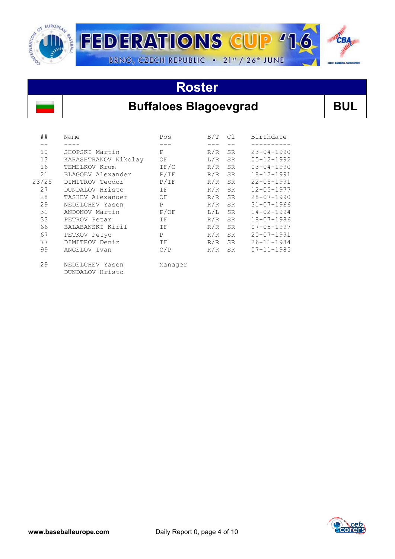

#### **Buffaloes Blagoevgrad** BUL

| ##    | Name                               | Pos          | B/T | C1        | Birthdate        |
|-------|------------------------------------|--------------|-----|-----------|------------------|
|       |                                    |              |     |           |                  |
| 10    | SHOPSKI Martin                     | P            | R/R | <b>SR</b> | $23 - 04 - 1990$ |
| 13    | KARASHTRANOV Nikolay               | ΟF           | L/R | <b>SR</b> | $05 - 12 - 1992$ |
| 16    | TEMELKOV Krum                      | IF/C         | R/R | <b>SR</b> | $03 - 04 - 1990$ |
| 21    | BLAGOEV Alexander                  | P/IF         | R/R | <b>SR</b> | $18 - 12 - 1991$ |
| 23/25 | DIMITROV Teodor                    | P/IF         | R/R | SR.       | $22 - 05 - 1991$ |
| 27    | DUNDALOV Hristo                    | ΙF           | R/R | <b>SR</b> | $12 - 05 - 1977$ |
| 28    | TASHEV Alexander                   | ΟF           | R/R | <b>SR</b> | $28 - 07 - 1990$ |
| 29    | NEDELCHEV Yasen                    | $\mathbf{P}$ | R/R | <b>SR</b> | $31 - 07 - 1966$ |
| 31    | ANDONOV Martin                     | P/OF         | L/L | <b>SR</b> | $14 - 02 - 1994$ |
| 33    | PETROV Petar                       | ΙF           | R/R | <b>SR</b> | 18-07-1986       |
| 66    | BALABANSKI Kiril                   | ΙF           | R/R | <b>SR</b> | $07 - 05 - 1997$ |
| 67    | PETKOV Petyo                       | P            | R/R | <b>SR</b> | $20 - 07 - 1991$ |
| 77    | DIMITROV Deniz                     | ΙF           | R/R | <b>SR</b> | $26 - 11 - 1984$ |
| 99    | ANGELOV Ivan                       | C/P          | R/R | <b>SR</b> | $07 - 11 - 1985$ |
| 29    | NEDELCHEV Yasen<br>DUNDALOV Hristo | Manager      |     |           |                  |

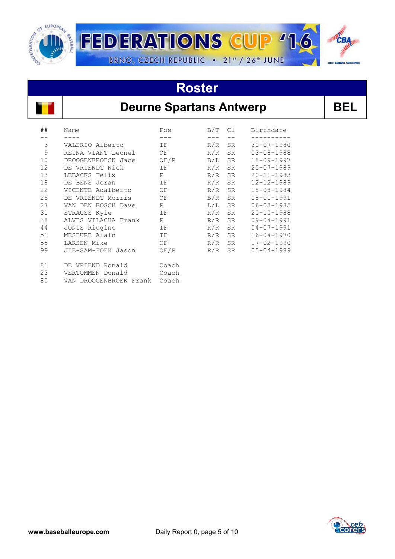



#### **Deurne Spartans Antwerp BEL**

| ## | Name                      | Pos          | B/T | C1        | Birthdate        |
|----|---------------------------|--------------|-----|-----------|------------------|
|    |                           |              |     |           |                  |
| 3  | VALERIO Alberto           | IF           | R/R | <b>SR</b> | $30 - 07 - 1980$ |
| 9  | REINA VIANT Leonel        | OF           | R/R | <b>SR</b> | $03 - 08 - 1988$ |
| 10 | DROOGENBROECK Jace        | OF/P         | B/L | <b>SR</b> | $18 - 09 - 1997$ |
| 12 | DE VRIENDT Nick           | ΙF           | R/R | <b>SR</b> | $25 - 07 - 1989$ |
| 13 | LEBACKS Felix             | $\mathbf{P}$ | R/R | <b>SR</b> | $20 - 11 - 1983$ |
| 18 | DE BENS Joran             | ΙF           | R/R | <b>SR</b> | $12 - 12 - 1989$ |
| 22 | VICENTE Adalberto         | ΟF           | R/R | <b>SR</b> | 18-08-1984       |
| 25 | DE VRIENDT Morris         | ΟF           | B/R | <b>SR</b> | $08 - 01 - 1991$ |
| 27 | VAN DEN BOSCH Dave        | Ρ            | L/L | <b>SR</b> | $06 - 03 - 1985$ |
| 31 | STRAUSS Kyle              | ΙF           | R/R | <b>SR</b> | $20 - 10 - 1988$ |
| 38 | ALVES VILACHA Frank       | P            | R/R | <b>SR</b> | $09 - 04 - 1991$ |
| 44 | JONIS Riugino             | ΙF           | R/R | <b>SR</b> | $04 - 07 - 1991$ |
| 51 | MESEURE Alain             | ΙF           | R/R | <b>SR</b> | $16 - 04 - 1970$ |
| 55 | LARSEN Mike               | OF           | R/R | <b>SR</b> | $17 - 02 - 1990$ |
| 99 | JIE-SAM-FOEK Jason        | OF/P         | R/R | <b>SR</b> | $05 - 04 - 1989$ |
| 81 | DE VRIEND Ronald          | Coach        |     |           |                  |
| 23 | VERTOMMEN Donald          | Coach        |     |           |                  |
| 80 | DROOGENBROEK Frank<br>VAN | Coach        |     |           |                  |

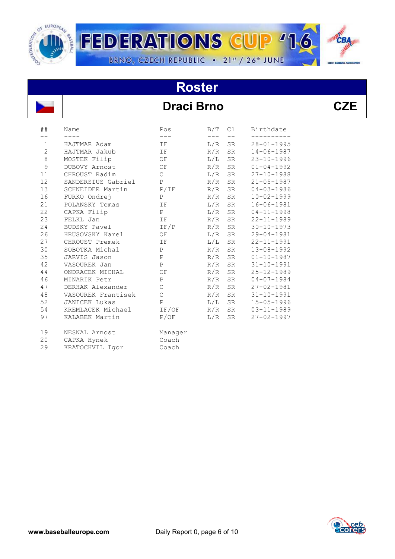

**FEDERATIONS CUP '1** BRNO, CZECH REPUBLIC . 21st / 26th JUNE

# **Roster**

#### **Draci Brno**

| × |  |
|---|--|

CBA

 $\overline{\mathbf{o}}$ 

| ##             | Name                 | Pos           | B/T | C1        | Birthdate        |
|----------------|----------------------|---------------|-----|-----------|------------------|
|                |                      | ---           |     |           |                  |
| $\mathbf 1$    | HAJTMAR Adam         | IF            | L/R | <b>SR</b> | $28 - 01 - 1995$ |
| $\overline{c}$ | HAJTMAR Jakub        | ΙF            | R/R | <b>SR</b> | $14 - 06 - 1987$ |
| $\,8\,$        | MOSTEK Filip         | OF            | L/L | SR        | $23 - 10 - 1996$ |
| 9              | DUBOVY Arnost        | ΟF            | R/R | <b>SR</b> | $01 - 04 - 1992$ |
| 11             | CHROUST Radim        | $\mathsf{C}$  | L/R | <b>SR</b> | $27 - 10 - 1988$ |
| 12             | SANDERSIUS Gabriel   | P             | R/R | SR        | $21 - 05 - 1987$ |
| 13             | SCHNEIDER Martin     | P/IF          | R/R | SR        | $04 - 03 - 1986$ |
| 16             | FURKO Ondrej         | P             | R/R | SR        | $10 - 02 - 1999$ |
| 21             | POLANSKY Tomas       | IF            | L/R | <b>SR</b> | $16 - 06 - 1981$ |
| 22             | CAPKA Filip          | $\mathsf{P}$  | L/R | <b>SR</b> | $04 - 11 - 1998$ |
| 23             | FELKL Jan            | ΙF            | R/R | <b>SR</b> | $22 - 11 - 1989$ |
| 24             | BUDSKY Pavel         | IF/P          | R/R | <b>SR</b> | $30 - 10 - 1973$ |
| 26             | HRUSOVSKY Karel      | OF            | L/R | SR        | $29 - 04 - 1981$ |
| 27             | CHROUST Premek       | IF            | L/L | SR        | $22 - 11 - 1991$ |
| 30             | SOBOTKA Michal       | $\mathbf{P}$  | R/R | <b>SR</b> | $13 - 08 - 1992$ |
| 35             | JARVIS Jason         | P             | R/R | <b>SR</b> | $01 - 10 - 1987$ |
| 42             | VASOUREK Jan         | $\, {\bf P}$  | R/R | SR        | $31 - 10 - 1991$ |
| 44             | ONDRACEK MICHAL      | OF            | R/R | <b>SR</b> | $25 - 12 - 1989$ |
| 46             | MINARIK Petr         | $\, {\bf P}$  | R/R | <b>SR</b> | $04 - 07 - 1984$ |
| 47             | DERHAK Alexander     | $\mathcal{C}$ | R/R | <b>SR</b> | $27 - 02 - 1981$ |
| 48             | VASOUREK Frantisek   | $\mathcal{C}$ | R/R | <b>SR</b> | $31 - 10 - 1991$ |
| 52             | <b>JANICEK Lukas</b> | $\mathsf{P}$  | L/L | SR        | $15 - 05 - 1996$ |
| 54             | KREMLACEK Michael    | IF/OF         | R/R | SR        | $03 - 11 - 1989$ |
| 97             | KALABEK Martin       | P/OF          | L/R | <b>SR</b> | $27 - 02 - 1997$ |
| 19             | NESNAL Arnost        | Manager       |     |           |                  |
| 20             | CAPKA Hynek          | Coach         |     |           |                  |
| 29             | KRATOCHVIL Igor      | Coach         |     |           |                  |

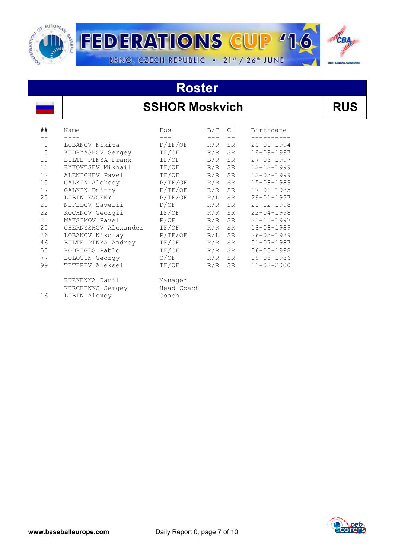

#### **SSHOR Moskvich**

| . .<br>۰. | .,<br>v |
|-----------|---------|
|-----------|---------|

| ##       | Name                 | Pos        | B/T | C1        | Birthdate        |
|----------|----------------------|------------|-----|-----------|------------------|
|          |                      |            |     |           |                  |
| $\Omega$ | LOBANOV Nikita       | P/IF/OF    | R/R | <b>SR</b> | $20 - 01 - 1994$ |
| 8        | KUDRYASHOV Sergey    | IF/OF      | R/R | <b>SR</b> | 18-09-1997       |
| 10       | BULTE PINYA Frank    | IF/OF      | B/R | <b>SR</b> | $27 - 03 - 1997$ |
| 11       | BYKOVTSEV Mikhail    | IF/OF      | R/R | <b>SR</b> | $12 - 12 - 1999$ |
| 12       | ALENICHEV Pavel      | IF/OF      | R/R | <b>SR</b> | $12 - 03 - 1999$ |
| 15       | GALKIN Aleksey       | P/IF/OF    | R/R | <b>SR</b> | $15 - 08 - 1989$ |
| 17       | GALKIN Dmitry        | P/IF/OF    | R/R | <b>SR</b> | $17 - 01 - 1985$ |
| 20       | LIBIN EVGENY         | P/IF/OF    | R/L | <b>SR</b> | $29 - 01 - 1997$ |
| 21       | NEFEDOV Savelii      | P/OF       | R/R | <b>SR</b> | $21 - 12 - 1998$ |
| 22       | KOCHNOV Georgii      | IF/OF      | R/R | <b>SR</b> | $22 - 04 - 1998$ |
| 23       | MAKSIMOV Pavel       | P/OF       | R/R | <b>SR</b> | $23 - 10 - 1997$ |
| 25       | CHERNYSHOV Alexander | IF/OF      | R/R | <b>SR</b> | 18-08-1989       |
| 26       | LOBANOV Nikolay      | P/IF/OF    | R/L | SR.       | $26 - 03 - 1989$ |
| 46       | BULTE PINYA Andrey   | IF/OF      | R/R | <b>SR</b> | $01 - 07 - 1987$ |
| 55       | RODRIGES Pablo       | IF/OF      | R/R | SR.       | $06 - 05 - 1998$ |
| 77       | BOLOTIN Georgy       | C/OF       | R/R | SR        | $19 - 08 - 1986$ |
| 99       | TETEREV Aleksei      | IF/OF      | R/R | <b>SR</b> | $11 - 02 - 2000$ |
|          |                      |            |     |           |                  |
|          | BURKENYA Danil       | Manager    |     |           |                  |
|          | KURCHENKO Sergey     | Head Coach |     |           |                  |
| 16       | LIBIN Alexey         | Coach      |     |           |                  |
|          |                      |            |     |           |                  |

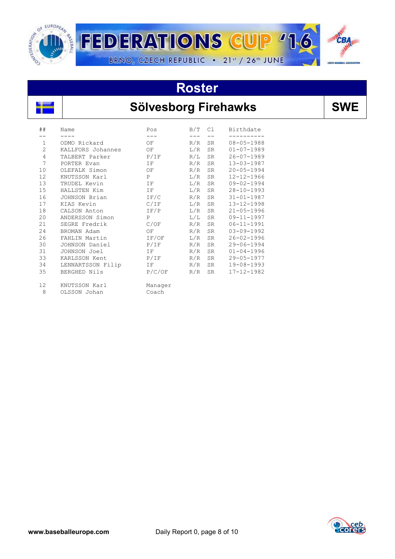

### **Sölvesborg Firehawks** | SWE

| ##             | Name              | Pos          | B/T | C1        | Birthdate        |
|----------------|-------------------|--------------|-----|-----------|------------------|
|                |                   |              |     |           |                  |
| $\mathbf{1}$   | ODMO Rickard      | OF           | R/R | <b>SR</b> | $08 - 05 - 1988$ |
| $\overline{2}$ | KALLFORS Johannes | OF           | L/R | <b>SR</b> | $01 - 07 - 1989$ |
| $\overline{4}$ | TALBERT Parker    | P/IF         | R/L | <b>SR</b> | $26 - 07 - 1989$ |
| 7              | PORTER Evan       | ΙF           | R/R | <b>SR</b> | $13 - 03 - 1987$ |
| 10             | OLEFALK Simon     | OF           | R/R | <b>SR</b> | $20 - 05 - 1994$ |
| 12             | KNUTSSON Karl     | P            | L/R | <b>SR</b> | $12 - 12 - 1966$ |
| 13             | TRUDEL Kevin      | IF           | L/R | <b>SR</b> | $09 - 02 - 1994$ |
| 15             | HALLSTEN Kim      | IF           | L/R | <b>SR</b> | $28 - 10 - 1993$ |
| 16             | JOHNSON Brian     | IF/C         | R/R | <b>SR</b> | $31 - 01 - 1987$ |
| 17             | KIAS Kevin        | C/IF         | L/R | <b>SR</b> | $13 - 12 - 1998$ |
| 18             | CALSON Anton      | IF/P         | L/R | <b>SR</b> | $21 - 05 - 1996$ |
| 20             | ANDERSSON Simon   | $\mathsf{P}$ | L/L | <b>SR</b> | $09 - 11 - 1997$ |
| 21             | SEGRE Fredrik     | C/OF         | R/R | <b>SR</b> | $06 - 11 - 1991$ |
| 24             | BROMAN Adam       | OF           | R/R | <b>SR</b> | $03 - 09 - 1992$ |
| 26             | FAHLIN Martin     | IF/OF        | L/R | <b>SR</b> | $26 - 02 - 1996$ |
| 30             | JOHNSON Daniel    | P/IF         | R/R | <b>SR</b> | $29 - 06 - 1994$ |
| 31             | JOHNSON Joel      | IF           | R/R | SR        | $01 - 04 - 1996$ |
| 33             | KARLSSON Kent     | P/IF         | R/R | <b>SR</b> | $29 - 05 - 1977$ |
| 34             | LENNARTSSON Filip | <b>TF</b>    | R/R | <b>SR</b> | $19 - 08 - 1993$ |
| 35             | BERGHED Nils      | P/C/OF       | R/R | <b>SR</b> | $17 - 12 - 1982$ |
| 12             | KNUTSSON Karl     | Manager      |     |           |                  |

8 OLSSON Johan Coach

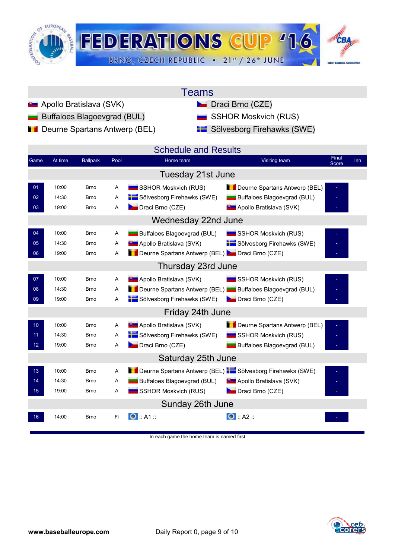

| <b>l</b> eams |
|---------------|
|---------------|

- **Apollo Bratislava (SVK)** Draci Brno (CZE)
	- Buffaloes Blagoevgrad (BUL) SSHOR Moskvich (RUS)
- **Deurne Spartans Antwerp (BEL)** Sölvesborg Firehawks (SWE)

- 
- 

| Game            | At time | <b>Ballpark</b> | Pool | <b>Schedule and Results</b><br>Home team                  | Visiting team                    | Final        | <b>Inn</b> |
|-----------------|---------|-----------------|------|-----------------------------------------------------------|----------------------------------|--------------|------------|
|                 |         |                 |      |                                                           |                                  | <b>Score</b> |            |
|                 |         |                 |      | Tuesday 21st June                                         |                                  |              |            |
| 01              | 10:00   | <b>Brno</b>     | Α    | SSHOR Moskvich (RUS)                                      | Deurne Spartans Antwerp (BEL)    |              |            |
| 02              | 14:30   | <b>Brno</b>     | Α    | Sölvesborg Firehawks (SWE)                                | Buffaloes Blagoevgrad (BUL)      |              |            |
| 03              | 19:00   | <b>Brno</b>     | A    | Draci Brno (CZE)                                          | <b>B</b> Apollo Bratislava (SVK) |              |            |
|                 |         |                 |      | Wednesday 22nd June                                       |                                  |              |            |
| 04              | 10:00   | <b>Brno</b>     | Α    | Buffaloes Blagoevgrad (BUL)                               | SSHOR Moskvich (RUS)             |              |            |
| 05              | 14:30   | <b>Brno</b>     | Α    | <b>B</b> Apollo Bratislava (SVK)                          | Sölvesborg Firehawks (SWE)       |              |            |
| 06              | 19:00   | <b>Brno</b>     | A    | Deurne Spartans Antwerp (BEL) Draci Brno (CZE)            |                                  |              |            |
|                 |         |                 |      | Thursday 23rd June                                        |                                  |              |            |
| 07              | 10:00   | <b>Brno</b>     | Α    | <b>D</b> Apollo Bratislava (SVK)                          | SSHOR Moskvich (RUS)             |              |            |
| 08              | 14:30   | <b>Brno</b>     | Α    | Deurne Spartans Antwerp (BEL) Buffaloes Blagoevgrad (BUL) |                                  |              |            |
| 09              | 19:00   | <b>Brno</b>     | Α    | Sölvesborg Firehawks (SWE)                                | Draci Brno (CZE)                 |              |            |
|                 |         |                 |      | Friday 24th June                                          |                                  |              |            |
| 10 <sup>1</sup> | 10:00   | <b>Brno</b>     | Α    | <b>B</b> Apollo Bratislava (SVK)                          | Deurne Spartans Antwerp (BEL)    |              |            |
| 11              | 14:30   | <b>Brno</b>     | Α    | Sölvesborg Firehawks (SWE)                                | <b>SSHOR Moskvich (RUS)</b>      |              |            |
| 12 <sup>2</sup> | 19:00   | <b>Brno</b>     | A    | Draci Brno (CZE)                                          | Buffaloes Blagoevgrad (BUL)      |              |            |
|                 |         |                 |      | Saturday 25th June                                        |                                  |              |            |
| 13              | 10:00   | <b>Brno</b>     | A    | Deurne Spartans Antwerp (BEL) Sölvesborg Firehawks (SWE)  |                                  |              |            |
| 14              | 14:30   | <b>Brno</b>     | Α    | Buffaloes Blagoevgrad (BUL)                               | <b>D</b> Apollo Bratislava (SVK) |              |            |
| 15 <sub>1</sub> | 19:00   | <b>Brno</b>     | Α    | SSHOR Moskvich (RUS)                                      | Draci Brno (CZE)                 |              |            |
|                 |         |                 |      | Sunday 26th June                                          |                                  |              |            |
| 16              | 14:00   | <b>Brno</b>     | Fi   | $\bullet$ :: A1 ::                                        | $\bullet$ :: A2 ::               |              |            |

[In each game the home team is named first](http://score.cebeurope.com/2013/antwerp/login.php)